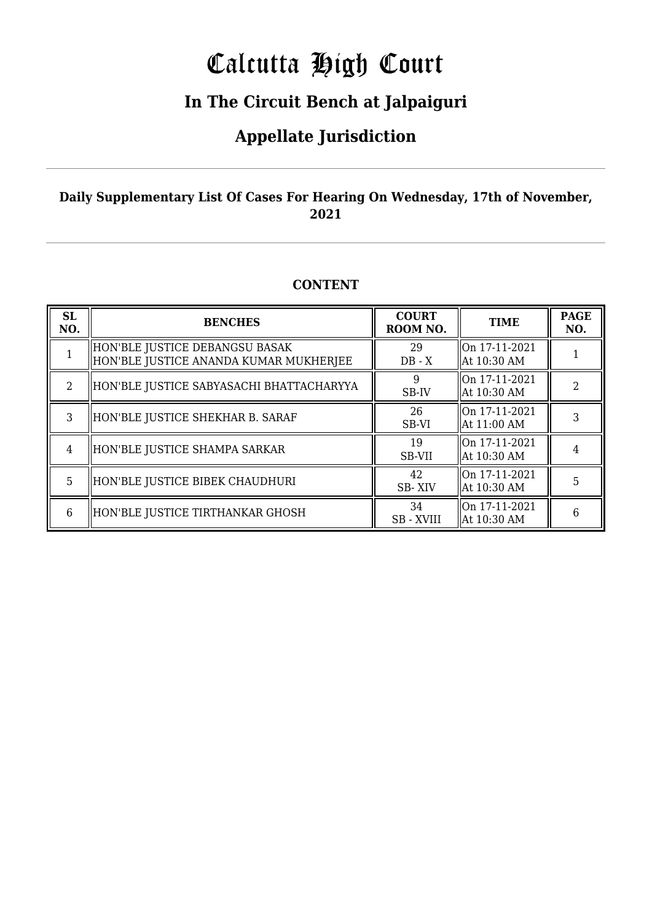# Calcutta High Court

### **In The Circuit Bench at Jalpaiguri**

### **Appellate Jurisdiction**

#### **Daily Supplementary List Of Cases For Hearing On Wednesday, 17th of November, 2021**

#### **CONTENT**

| <b>SL</b><br>NO. | <b>BENCHES</b>                                                           | <b>COURT</b><br>ROOM NO. | <b>TIME</b>                                | <b>PAGE</b><br>NO. |
|------------------|--------------------------------------------------------------------------|--------------------------|--------------------------------------------|--------------------|
|                  | HON'BLE JUSTICE DEBANGSU BASAK<br>HON'BLE JUSTICE ANANDA KUMAR MUKHERJEE | 29<br>$DB - X$           | $\parallel$ On 17-11-2021<br>  At 10:30 AM |                    |
| $\mathfrak{D}$   | HON'BLE JUSTICE SABYASACHI BHATTACHARYYA                                 | 9<br>SB-IV               | $\mid$ 0n 17-11-2021<br>  At 10:30 AM      | $\mathcal{D}$      |
| 3                | HON'BLE JUSTICE SHEKHAR B. SARAF                                         | 26<br>SB-VI              | llOn 17-11-2021<br>  At 11:00 AM           | 3                  |
| 4                | HON'BLE JUSTICE SHAMPA SARKAR                                            | 19<br>SB-VII             | On 17-11-2021<br>  At 10:30 AM             |                    |
| 5                | HON'BLE JUSTICE BIBEK CHAUDHURI                                          | 42<br>SB-XIV             | llOn 17-11-2021<br>  At 10:30 AM           | 5                  |
| 6                | HON'BLE JUSTICE TIRTHANKAR GHOSH                                         | 34<br><b>SB-XVIII</b>    | On 17-11-2021<br>At 10:30 AM               | 6                  |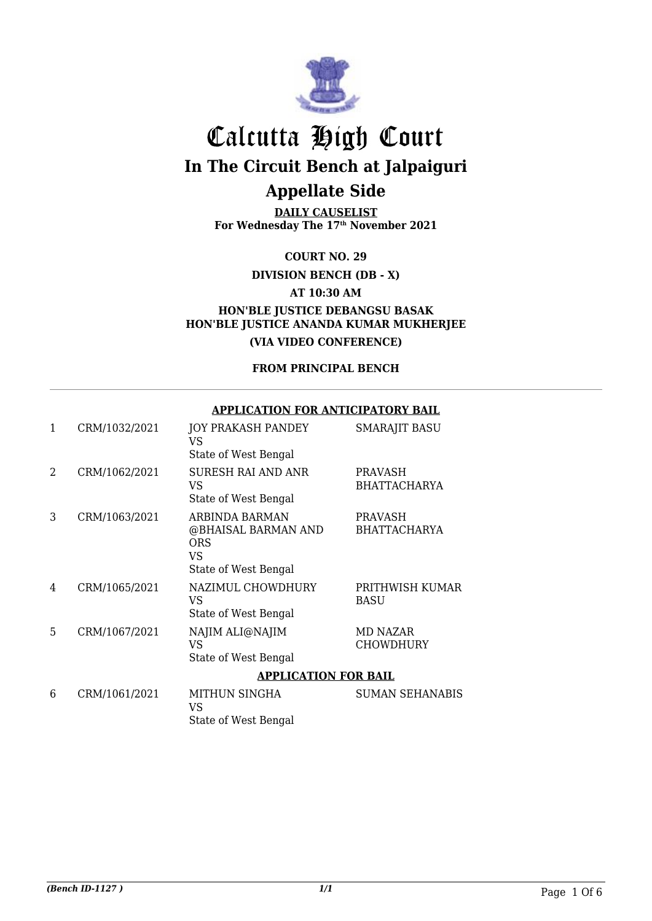

**DAILY CAUSELIST For Wednesday The 17th November 2021**

**COURT NO. 29**

**DIVISION BENCH (DB - X)**

**AT 10:30 AM**

**HON'BLE JUSTICE DEBANGSU BASAK HON'BLE JUSTICE ANANDA KUMAR MUKHERJEE (VIA VIDEO CONFERENCE)**

**FROM PRINCIPAL BENCH**

#### **APPLICATION FOR ANTICIPATORY BAIL**

| 1 | CRM/1032/2021 | JOY PRAKASH PANDEY<br>VS<br>State of West Bengal                                  | <b>SMARAJIT BASU</b>                  |
|---|---------------|-----------------------------------------------------------------------------------|---------------------------------------|
| 2 | CRM/1062/2021 | <b>SURESH RAI AND ANR</b><br>VS<br>State of West Bengal                           | <b>PRAVASH</b><br><b>BHATTACHARYA</b> |
| 3 | CRM/1063/2021 | ARBINDA BARMAN<br>@BHAISAL BARMAN AND<br><b>ORS</b><br>VS<br>State of West Bengal | <b>PRAVASH</b><br><b>BHATTACHARYA</b> |
| 4 | CRM/1065/2021 | NAZIMUL CHOWDHURY<br>VS<br>State of West Bengal                                   | PRITHWISH KUMAR<br><b>BASU</b>        |
| 5 | CRM/1067/2021 | NAJIM ALI@NAJIM<br><b>VS</b><br>State of West Bengal                              | MD NAZAR<br><b>CHOWDHURY</b>          |
|   |               | <b>APPLICATION FOR BAIL</b>                                                       |                                       |
| 6 | CRM/1061/2021 | MITHUN SINGHA<br><b>VS</b><br>State of West Bengal                                | <b>SUMAN SEHANABIS</b>                |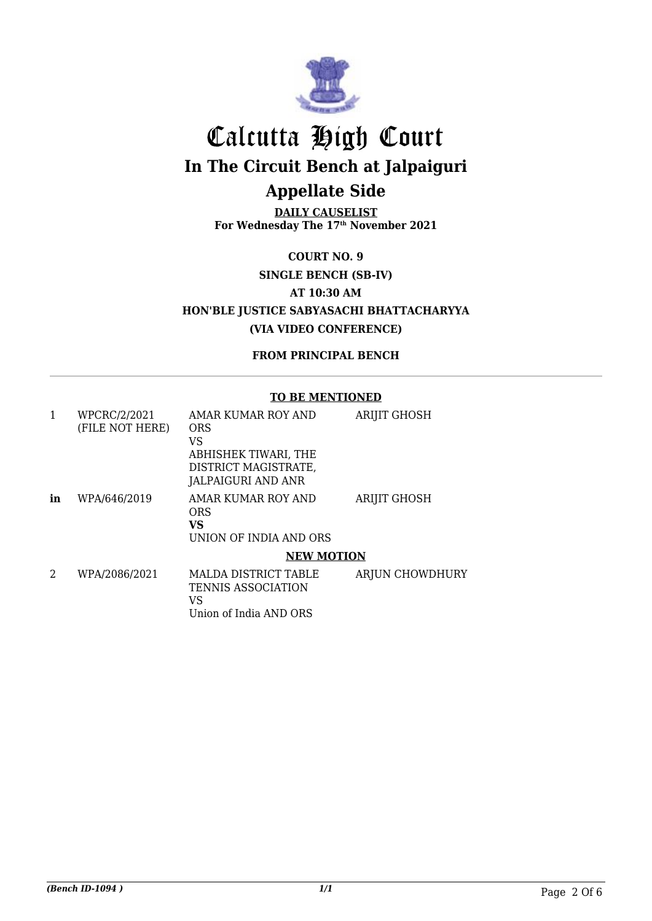

**DAILY CAUSELIST For Wednesday The 17th November 2021**

**COURT NO. 9**

**SINGLE BENCH (SB-IV)**

**AT 10:30 AM**

**HON'BLE JUSTICE SABYASACHI BHATTACHARYYA (VIA VIDEO CONFERENCE)**

**FROM PRINCIPAL BENCH**

#### **TO BE MENTIONED**

| 1  | WPCRC/2/2021    | AMAR KUMAR ROY AND                                       | <b>ARIJIT GHOSH</b> |
|----|-----------------|----------------------------------------------------------|---------------------|
|    | (FILE NOT HERE) | <b>ORS</b>                                               |                     |
|    |                 | VS                                                       |                     |
|    |                 | ABHISHEK TIWARI, THE                                     |                     |
|    |                 | DISTRICT MAGISTRATE,                                     |                     |
|    |                 | JALPAIGURI AND ANR                                       |                     |
| in | WPA/646/2019    | AMAR KUMAR ROY AND<br><b>ORS</b>                         | <b>ARIJIT GHOSH</b> |
|    |                 | VS                                                       |                     |
|    |                 | UNION OF INDIA AND ORS                                   |                     |
|    |                 | <b>NEW MOTION</b>                                        |                     |
| 2  | WPA/2086/2021   | <b>MALDA DISTRICT TABLE</b><br><b>TENNIS ASSOCIATION</b> | ARJUN CHOWDHURY     |
|    |                 | VS                                                       |                     |
|    |                 | Union of India AND ORS                                   |                     |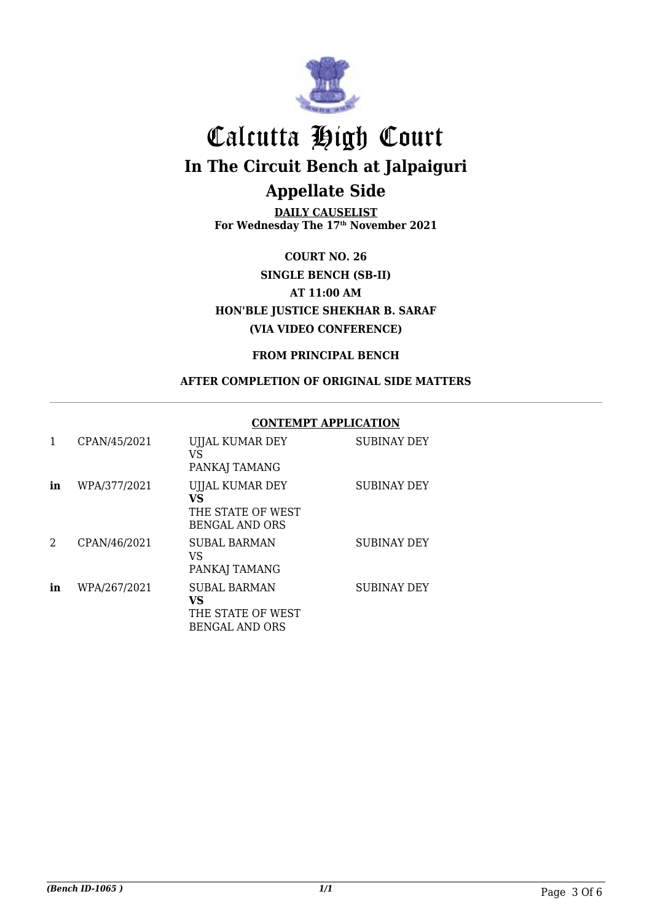

**DAILY CAUSELIST For Wednesday The 17th November 2021**

**COURT NO. 26 SINGLE BENCH (SB-II) AT 11:00 AM HON'BLE JUSTICE SHEKHAR B. SARAF (VIA VIDEO CONFERENCE)**

#### **FROM PRINCIPAL BENCH**

#### **AFTER COMPLETION OF ORIGINAL SIDE MATTERS**

#### **CONTEMPT APPLICATION**

| 1  | CPAN/45/2021 | UJJAL KUMAR DEY<br>VS<br>PANKAJ TAMANG                                     | <b>SUBINAY DEY</b> |
|----|--------------|----------------------------------------------------------------------------|--------------------|
| in | WPA/377/2021 | <b>UJJAL KUMAR DEY</b><br>VS<br>THE STATE OF WEST<br><b>BENGAL AND ORS</b> | <b>SUBINAY DEY</b> |
| 2  | CPAN/46/2021 | <b>SUBAL BARMAN</b><br>VS<br>PANKAJ TAMANG                                 | <b>SUBINAY DEY</b> |
| in | WPA/267/2021 | <b>SUBAL BARMAN</b><br>VS<br>THE STATE OF WEST<br><b>BENGAL AND ORS</b>    | <b>SUBINAY DEY</b> |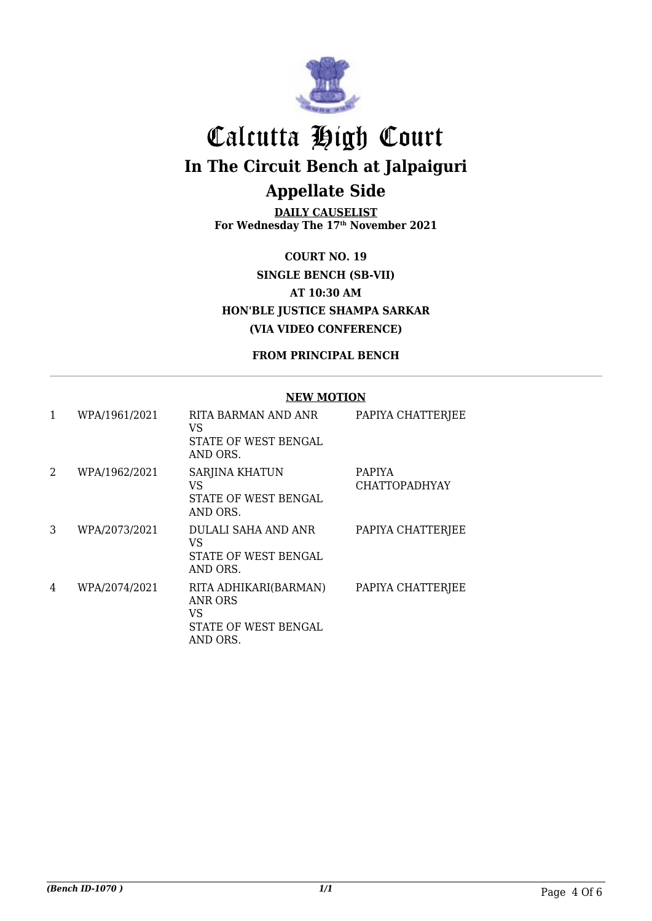

**DAILY CAUSELIST For Wednesday The 17th November 2021**

**COURT NO. 19 SINGLE BENCH (SB-VII) AT 10:30 AM HON'BLE JUSTICE SHAMPA SARKAR (VIA VIDEO CONFERENCE)**

**FROM PRINCIPAL BENCH**

#### **NEW MOTION**

| 1 | WPA/1961/2021 | RITA BARMAN AND ANR<br>VS<br>STATE OF WEST BENGAL<br>AND ORS.                     | PAPIYA CHATTERJEE                     |
|---|---------------|-----------------------------------------------------------------------------------|---------------------------------------|
| 2 | WPA/1962/2021 | SARJINA KHATUN<br>VS<br><b>STATE OF WEST BENGAL</b><br>AND ORS.                   | <b>PAPIYA</b><br><b>CHATTOPADHYAY</b> |
| 3 | WPA/2073/2021 | DULALI SAHA AND ANR<br>VS<br><b>STATE OF WEST BENGAL</b><br>AND ORS.              | PAPIYA CHATTERJEE                     |
| 4 | WPA/2074/2021 | RITA ADHIKARI(BARMAN)<br>ANR ORS<br>VS<br><b>STATE OF WEST BENGAL</b><br>AND ORS. | PAPIYA CHATTERJEE                     |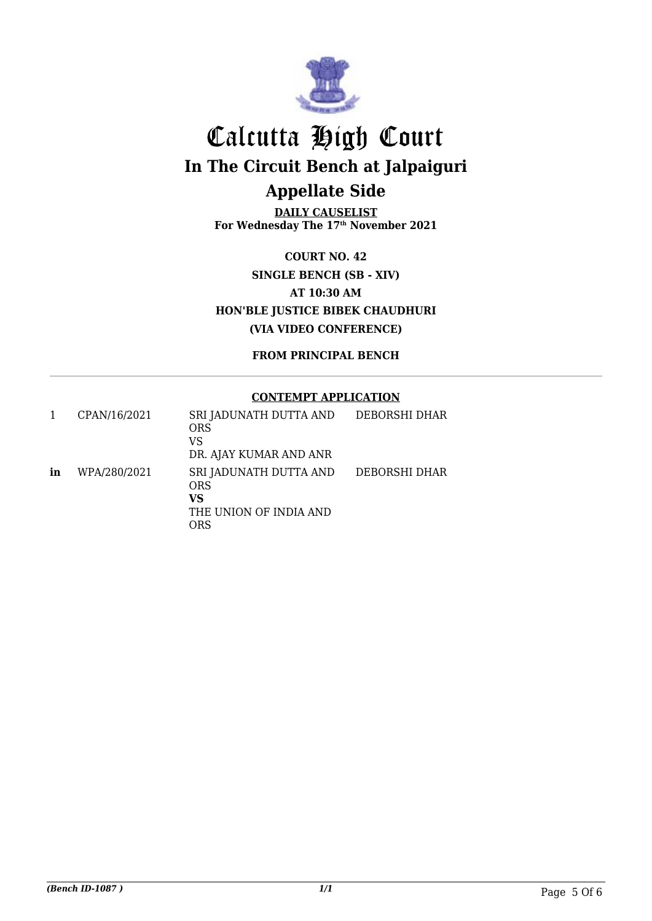

**DAILY CAUSELIST For Wednesday The 17th November 2021**

**COURT NO. 42 SINGLE BENCH (SB - XIV) AT 10:30 AM HON'BLE JUSTICE BIBEK CHAUDHURI (VIA VIDEO CONFERENCE)**

**FROM PRINCIPAL BENCH**

#### **CONTEMPT APPLICATION**

|    | CPAN/16/2021 | SRI JADUNATH DUTTA AND<br><b>ORS</b><br>VS<br>DR. AJAY KUMAR AND ANR        | DEBORSHI DHAR |
|----|--------------|-----------------------------------------------------------------------------|---------------|
| in | WPA/280/2021 | SRI JADUNATH DUTTA AND<br><b>ORS</b><br>VS<br>THE UNION OF INDIA AND<br>ORS | DEBORSHI DHAR |